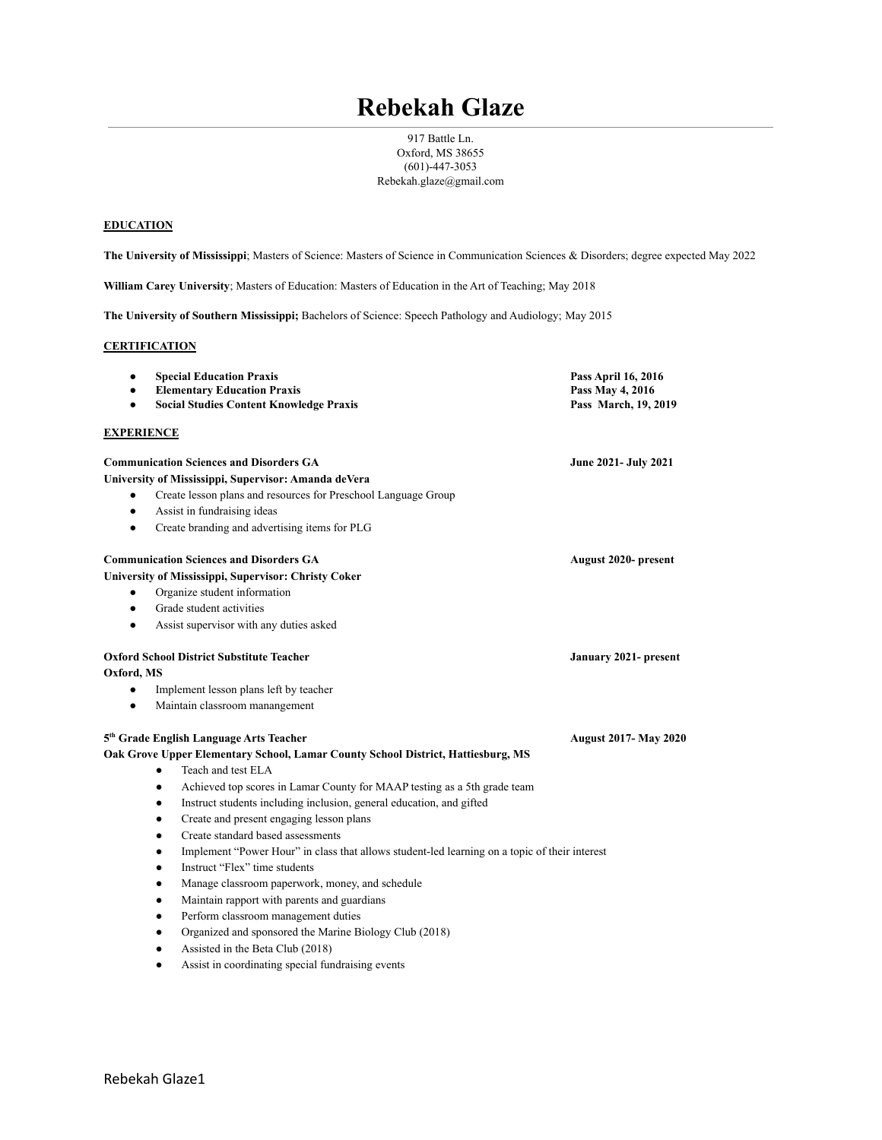# **Rebekah Glaze**

917 Battle Ln. Oxford, MS 38655 (601)-447-3053 Rebekah.glaze@gmail.com

## **EDUCATION**

**The University of Mississippi**; Masters of Science: Masters of Science in Communication Sciences & Disorders; degree expected May 2022

**William Carey University**; Masters of Education: Masters of Education in the Art of Teaching; May 2018

**The University of Southern Mississippi;** Bachelors of Science: Speech Pathology and Audiology; May 2015

#### **CERTIFICATION**

| $\bullet$         | <b>Special Education Praxis</b>                                                                            | Pass April 16, 2016                      |
|-------------------|------------------------------------------------------------------------------------------------------------|------------------------------------------|
|                   | <b>Elementary Education Praxis</b><br><b>Social Studies Content Knowledge Praxis</b>                       | Pass May 4, 2016<br>Pass March, 19, 2019 |
|                   |                                                                                                            |                                          |
| <b>EXPERIENCE</b> |                                                                                                            |                                          |
|                   | <b>Communication Sciences and Disorders GA</b>                                                             | <b>June 2021- July 2021</b>              |
|                   | University of Mississippi, Supervisor: Amanda deVera                                                       |                                          |
| ٠                 | Create lesson plans and resources for Preschool Language Group                                             |                                          |
| $\bullet$         | Assist in fundraising ideas                                                                                |                                          |
| $\bullet$         | Create branding and advertising items for PLG                                                              |                                          |
|                   | <b>Communication Sciences and Disorders GA</b>                                                             | August 2020- present                     |
|                   | University of Mississippi, Supervisor: Christy Coker                                                       |                                          |
| ٠                 | Organize student information                                                                               |                                          |
| $\bullet$         | Grade student activities                                                                                   |                                          |
| $\bullet$         | Assist supervisor with any duties asked                                                                    |                                          |
|                   | <b>Oxford School District Substitute Teacher</b>                                                           | January 2021- present                    |
| Oxford, MS        |                                                                                                            |                                          |
| $\bullet$         | Implement lesson plans left by teacher                                                                     |                                          |
| $\bullet$         | Maintain classroom manangement                                                                             |                                          |
|                   | 5 <sup>th</sup> Grade English Language Arts Teacher                                                        | <b>August 2017- May 2020</b>             |
|                   | Oak Grove Upper Elementary School, Lamar County School District, Hattiesburg, MS                           |                                          |
|                   | Teach and test ELA<br>$\bullet$                                                                            |                                          |
|                   | Achieved top scores in Lamar County for MAAP testing as a 5th grade team<br>$\bullet$                      |                                          |
|                   | Instruct students including inclusion, general education, and gifted<br>$\bullet$                          |                                          |
|                   | Create and present engaging lesson plans<br>$\bullet$                                                      |                                          |
|                   | Create standard based assessments<br>$\bullet$                                                             |                                          |
|                   | Implement "Power Hour" in class that allows student-led learning on a topic of their interest<br>$\bullet$ |                                          |
|                   | Instruct "Flex" time students<br>$\bullet$                                                                 |                                          |
|                   | Manage classroom paperwork, money, and schedule<br>٠                                                       |                                          |
|                   | Maintain rapport with parents and guardians<br>٠                                                           |                                          |
|                   | Perform classroom management duties<br>$\bullet$                                                           |                                          |
|                   | Organized and sponsored the Marine Biology Club (2018)<br>$\bullet$                                        |                                          |
|                   | Assisted in the Beta Club (2018)<br>٠                                                                      |                                          |
|                   | Assist in coordinating special fundraising events<br>$\bullet$                                             |                                          |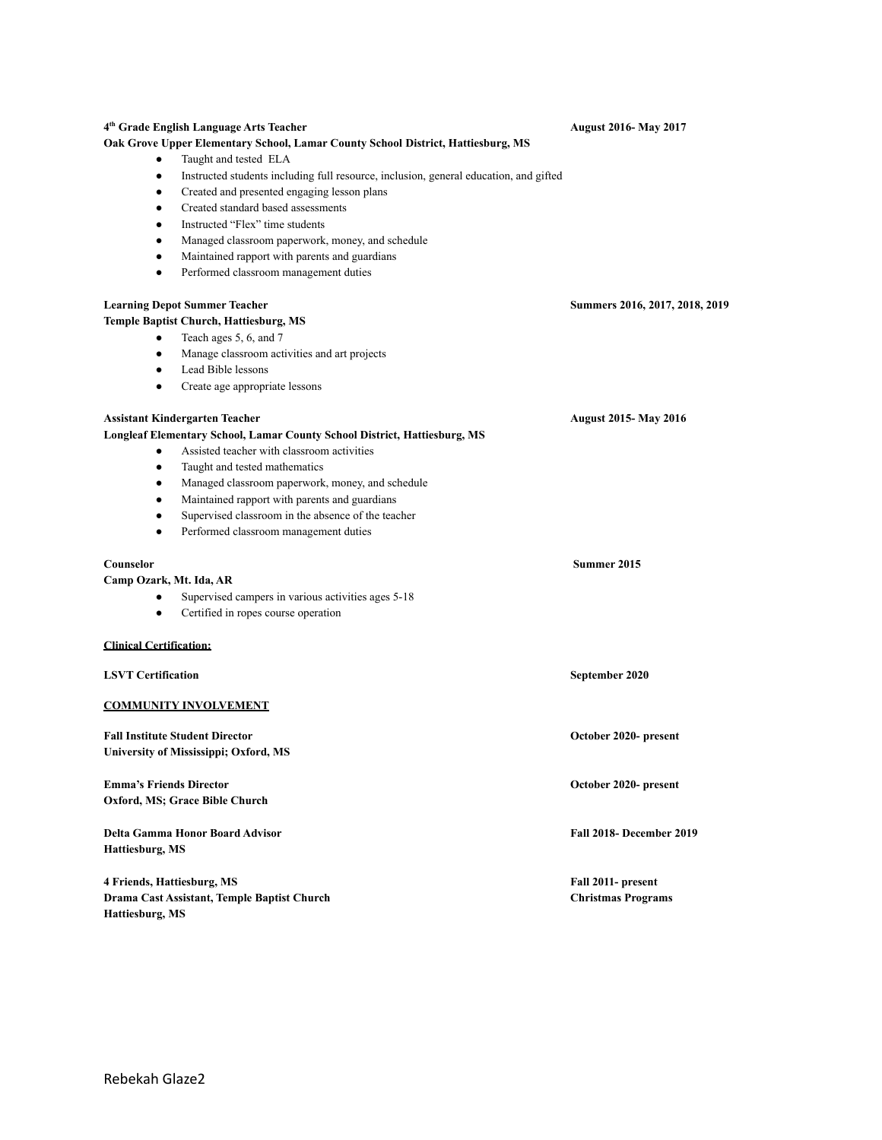# **4 th Grade English Language Arts Teacher August 2016- May 2017 Oak Grove Upper Elementary School, Lamar County School District, Hattiesburg, MS** Taught and tested ELA Instructed students including full resource, inclusion, general education, and gifted ● Created and presented engaging lesson plans ● Created standard based assessments Instructed "Flex" time students ● Managed classroom paperwork, money, and schedule ● Maintained rapport with parents and guardians ● Performed classroom management duties **Learning Depot Summer Teacher Summers 2016, 2017, 2018, 2019 Temple Baptist Church, Hattiesburg, MS** • Teach ages 5, 6, and 7 ● Manage classroom activities and art projects ● Lead Bible lessons ● Create age appropriate lessons **Assistant Kindergarten Teacher August 2015- May 2016 Longleaf Elementary School, Lamar County School District, Hattiesburg, MS** ● Assisted teacher with classroom activities Taught and tested mathematics ● Managed classroom paperwork, money, and schedule ● Maintained rapport with parents and guardians ● Supervised classroom in the absence of the teacher Performed classroom management duties **Counselor Summer 2015 Camp Ozark, Mt. Ida, AR** • Supervised campers in various activities ages 5-18 **●** Certified in ropes course operation **Clinical Certification: LSVT Certification September 2020 COMMUNITY INVOLVEMENT Fall Institute Student Director October 2020- present University of Mississippi; Oxford, MS Emma's Friends Director October 2020- present Oxford, MS; Grace Bible Church Delta Gamma Honor Board Advisor Fall 2018- December 2019 Hattiesburg, MS 4 Friends, Hattiesburg, MS Fall 2011- present Drama Cast Assistant, Temple Baptist Church Christmas Programs Hattiesburg, MS**